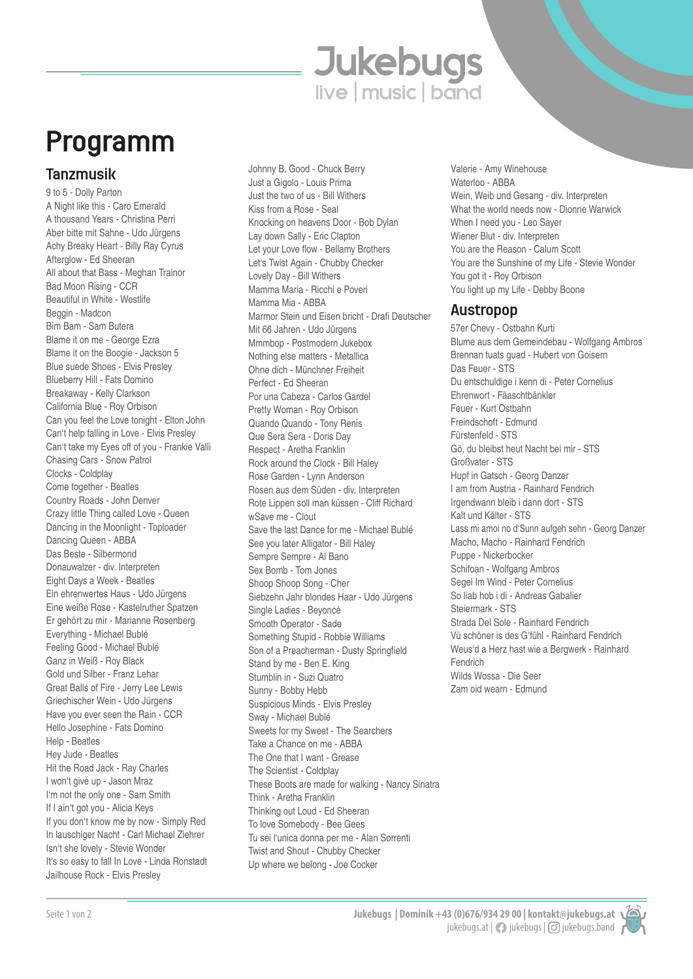# **Jukebugs**

# Programm

### Tanzmusik

9 to 5 - Dolly Parton A Night like this - Caro Emerald A thousand Years - Christina Perri Aber bitte mit Sahne - Udo Jürgens Achy Breaky Heart - Billy Ray Cyrus Afterglow - Ed Sheeran All about that Bass - Meghan Trainor Bad Moon Rising - CCR Beautiful in White - Westlife Beggin - Madcon Bim Bam - Sam Butera Blame it on me - George Ezra Blame it on the Boogie - Jackson 5 Blue suede Shoes - Elvis Presley Blueberry Hill - Fats Domino Breakaway - Kelly Clarkson California Blue - Roy Orbison Can you feel the Love tonight - Elton John Can't help falling in Love - Elvis Presley Can't take my Eyes off of you - Frankie Valli Chasing Cars - Snow Patrol Clocks - Coldplay Come together - Beatles Country Roads - John Denver Crazy little Thing called Love - Queen Dancing in the Moonlight - Toploader Dancing Queen - ABBA Das Beste - Silbermond Donauwalzer - div. Interpreten Eight Days a Week - Beatles Ein ehrenwertes Haus - Udo Jürgens Eine weiße Rose - Kastelruther Spatzen Er gehört zu mir - Marianne Rosenberg Everything - Michael Bublé Feeling Good - Michael Bublé Ganz in Weiß - Roy Black Gold und Silber - Franz Lehar Great Balls of Fire - Jerry Lee Lewis Griechischer Wein - Udo Jürgens Have you ever seen the Rain - CCR Hello Josephine - Fats Domino Help - Beatles Hey Jude - Beatles Hit the Road Jack - Ray Charles I won't give up - Jason Mraz I'm not the only one - Sam Smith If I ain't got you - Alicia Keys If you don't know me by now - Simply Red In lauschiger Nacht - Carl Michael Ziehrer Isn't she lovely - Stevie Wonder It's so easy to fall In Love - Linda Ronstadt Jailhouse Rock - Elvis Presley

Johnny B. Good - Chuck Berry Just a Gigolo - Louis Prima Just the two of us - Bill Withers Kiss from a Rose - Seal Knocking on heavens Door - Bob Dylan Lay down Sally - Eric Clapton Let your Love flow - Bellamy Brothers Let's Twist Again - Chubby Checker Lovely Day - Bill Withers Mamma Maria - Ricchi e Poveri Mamma Mia - ABBA Marmor Stein und Eisen bricht - Drafi Deutscher Mit 66 Jahren - Udo Jürgens Mmmbop - Postmodern Jukebox Nothing else matters - Metallica Ohne dich - Münchner Freiheit Perfect - Ed Sheeran Por una Cabeza - Carlos Gardel Pretty Woman - Roy Orbison Quando Quando - Tony Renis Que Sera Sera - Doris Day Respect - Aretha Franklin Rock around the Clock - Bill Haley Rose Garden - Lynn Anderson Rosen aus dem Süden - div. Interpreten Rote Lippen soll man küssen - Cliff Richard wSave me - Clout Save the last Dance for me - Michael Bublé See you later Alligator - Bill Haley Sempre Sempre - Al Bano Sex Bomb - Tom Jones Shoop Shoop Song - Cher Siebzehn Jahr blondes Haar - Udo Jürgens Single Ladies - Beyoncè Smooth Operator - Sade Something Stupid - Robbie Williams Son of a Preacherman - Dusty Springfield Stand by me - Ben E. King Stumblin in - Suzi Quatro Sunny - Bobby Hebb Suspicious Minds - Elvis Presley Sway - Michael Bublé Sweets for my Sweet - The Searchers Take a Chance on me - ABBA The One that I want - Grease The Scientist - Coldplay These Boots are made for walking - Nancy Sinatra Think - Aretha Franklin Thinking out Loud - Ed Sheeran To love Somebody - Bee Gees Tu sei l'unica donna per me - Alan Sorrenti Twist and Shout - Chubby Checker Up where we belong - Joe Cocker

Valerie - Amy Winehouse Waterloo - ABBA Wein, Weib und Gesang - div. Interpreten What the world needs now - Dionne Warwick When I need you - Leo Sayer Wiener Blut - div. Interpreten You are the Reason - Calum Scott You are the Sunshine of my Life - Stevie Wonder You got it - Roy Orbison You light up my Life - Debby Boone

#### Austropop

57er Chevy - Ostbahn Kurti Blume aus dem Gemeindebau - Wolfgang Ambros Brennan tuats guad - Hubert von Goisern Das Feuer - STS Du entschuldige i kenn di - Peter Cornelius Ehrenwort - Fäaschtbänkler Feuer - Kurt Ostbahn Freindschoft - Edmund Fürstenfeld - STS Gö, du bleibst heut Nacht bei mir - STS Großvater - STS Hupf in Gatsch - Georg Danzer I am from Austria - Rainhard Fendrich Irgendwann bleib i dann dort - STS Kalt und Kälter - STS Lass mi amoi no d'Sunn aufgeh sehn - Georg Danzer Macho, Macho - Rainhard Fendrich Puppe - Nickerbocker Schifoan - Wolfgang Ambros Segel Im Wind - Peter Cornelius So liab hob i di - Andreas Gabalier Steiermark - STS Strada Del Sole - Rainhard Fendrich Vü schöner is des G'fühl - Rainhard Fendrich Weus'd a Herz hast wie a Bergwerk - Rainhard Fendrich Wilds Wossa - Die Seer Zam oid wearn - Edmund